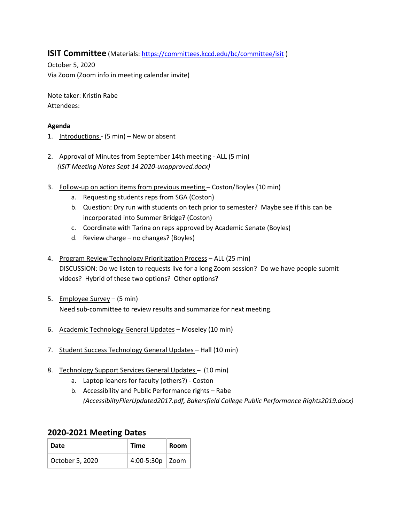## **ISIT Committee** (Materials[: https://committees.kccd.edu/bc/committee/isit](https://committees.kccd.edu/bc/committee/isit))

October 5, 2020 Via Zoom (Zoom info in meeting calendar invite)

Note taker: Kristin Rabe Attendees:

## **Agenda**

- 1. Introductions (5 min) New or absent
- 2. Approval of Minutes from September 14th meeting ALL (5 min)  *(ISIT Meeting Notes Sept 14 2020-unapproved.docx)*
- 3. Follow-up on action items from previous meeting Coston/Boyles (10 min)
	- a. Requesting students reps from SGA (Coston)
	- b. Question: Dry run with students on tech prior to semester? Maybe see if this can be incorporated into Summer Bridge? (Coston)
	- c. Coordinate with Tarina on reps approved by Academic Senate (Boyles)
	- d. Review charge no changes? (Boyles)
- 4. Program Review Technology Prioritization Process ALL (25 min) DISCUSSION: Do we listen to requests live for a long Zoom session? Do we have people submit videos? Hybrid of these two options? Other options?
- 5. Employee Survey (5 min) Need sub-committee to review results and summarize for next meeting.
- 6. Academic Technology General Updates Moseley (10 min)
- 7. Student Success Technology General Updates Hall (10 min)
- 8. Technology Support Services General Updates (10 min)
	- a. Laptop loaners for faculty (others?) Coston
	- b. Accessibility and Public Performance rights Rabe *(AccessibiltyFlierUpdated2017.pdf, Bakersfield College Public Performance Rights2019.docx)*

## **2020-2021 Meeting Dates**

| Date            | <b>Time</b>       | Room |
|-----------------|-------------------|------|
| October 5, 2020 | 4:00-5:30p   Zoom |      |